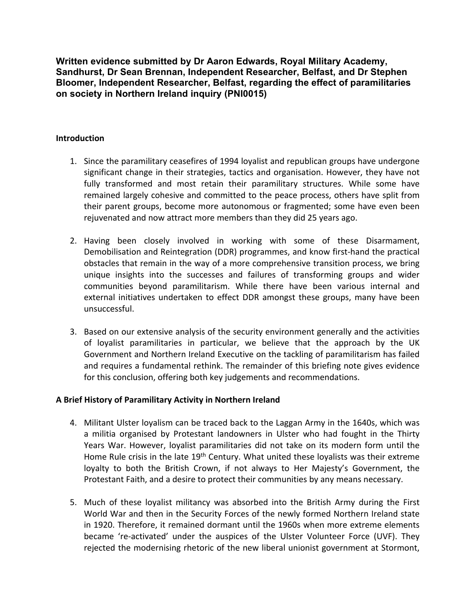**Written evidence submitted by Dr Aaron Edwards, Royal Military Academy, Sandhurst, Dr Sean Brennan, Independent Researcher, Belfast, and Dr Stephen Bloomer, Independent Researcher, Belfast, regarding the effect of paramilitaries on society in Northern Ireland inquiry (PNI0015)**

## **Introduction**

- 1. Since the paramilitary ceasefires of 1994 loyalist and republican groups have undergone significant change in their strategies, tactics and organisation. However, they have not fully transformed and most retain their paramilitary structures. While some have remained largely cohesive and committed to the peace process, others have split from their parent groups, become more autonomous or fragmented; some have even been rejuvenated and now attract more members than they did 25 years ago.
- 2. Having been closely involved in working with some of these Disarmament, Demobilisation and Reintegration (DDR) programmes, and know first-hand the practical obstacles that remain in the way of a more comprehensive transition process, we bring unique insights into the successes and failures of transforming groups and wider communities beyond paramilitarism. While there have been various internal and external initiatives undertaken to effect DDR amongst these groups, many have been unsuccessful.
- 3. Based on our extensive analysis of the security environment generally and the activities of loyalist paramilitaries in particular, we believe that the approach by the UK Government and Northern Ireland Executive on the tackling of paramilitarism has failed and requires a fundamental rethink. The remainder of this briefing note gives evidence for this conclusion, offering both key judgements and recommendations.

# **A Brief History of Paramilitary Activity in Northern Ireland**

- 4. Militant Ulster loyalism can be traced back to the Laggan Army in the 1640s, which was a militia organised by Protestant landowners in Ulster who had fought in the Thirty Years War. However, loyalist paramilitaries did not take on its modern form until the Home Rule crisis in the late 19<sup>th</sup> Century. What united these loyalists was their extreme loyalty to both the British Crown, if not always to Her Majesty's Government, the Protestant Faith, and a desire to protect their communities by any means necessary.
- 5. Much of these loyalist militancy was absorbed into the British Army during the First World War and then in the Security Forces of the newly formed Northern Ireland state in 1920. Therefore, it remained dormant until the 1960s when more extreme elements became 're-activated' under the auspices of the Ulster Volunteer Force (UVF). They rejected the modernising rhetoric of the new liberal unionist government at Stormont,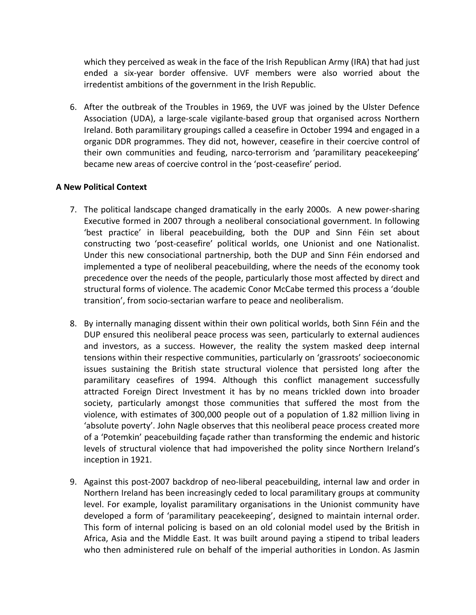which they perceived as weak in the face of the Irish Republican Army (IRA) that had just ended a six-year border offensive. UVF members were also worried about the irredentist ambitions of the government in the Irish Republic.

6. After the outbreak of the Troubles in 1969, the UVF was joined by the Ulster Defence Association (UDA), a large-scale vigilante-based group that organised across Northern Ireland. Both paramilitary groupings called a ceasefire in October 1994 and engaged in a organic DDR programmes. They did not, however, ceasefire in their coercive control of their own communities and feuding, narco-terrorism and 'paramilitary peacekeeping' became new areas of coercive control in the 'post-ceasefire' period.

# **A New Political Context**

- 7. The political landscape changed dramatically in the early 2000s. A new power-sharing Executive formed in 2007 through a neoliberal consociational government. In following 'best practice' in liberal peacebuilding, both the DUP and Sinn Féin set about constructing two 'post-ceasefire' political worlds, one Unionist and one Nationalist. Under this new consociational partnership, both the DUP and Sinn Féin endorsed and implemented a type of neoliberal peacebuilding, where the needs of the economy took precedence over the needs of the people, particularly those most affected by direct and structural forms of violence. The academic Conor McCabe termed this process a 'double transition', from socio-sectarian warfare to peace and neoliberalism.
- 8. By internally managing dissent within their own political worlds, both Sinn Féin and the DUP ensured this neoliberal peace process was seen, particularly to external audiences and investors, as a success. However, the reality the system masked deep internal tensions within their respective communities, particularly on 'grassroots' socioeconomic issues sustaining the British state structural violence that persisted long after the paramilitary ceasefires of 1994. Although this conflict management successfully attracted Foreign Direct Investment it has by no means trickled down into broader society, particularly amongst those communities that suffered the most from the violence, with estimates of 300,000 people out of a population of 1.82 million living in 'absolute poverty'. John Nagle observes that this neoliberal peace process created more of a 'Potemkin' peacebuilding façade rather than transforming the endemic and historic levels of structural violence that had impoverished the polity since Northern Ireland's inception in 1921.
- 9. Against this post-2007 backdrop of neo-liberal peacebuilding, internal law and order in Northern Ireland has been increasingly ceded to local paramilitary groups at community level. For example, loyalist paramilitary organisations in the Unionist community have developed a form of 'paramilitary peacekeeping', designed to maintain internal order. This form of internal policing is based on an old colonial model used by the British in Africa, Asia and the Middle East. It was built around paying a stipend to tribal leaders who then administered rule on behalf of the imperial authorities in London. As Jasmin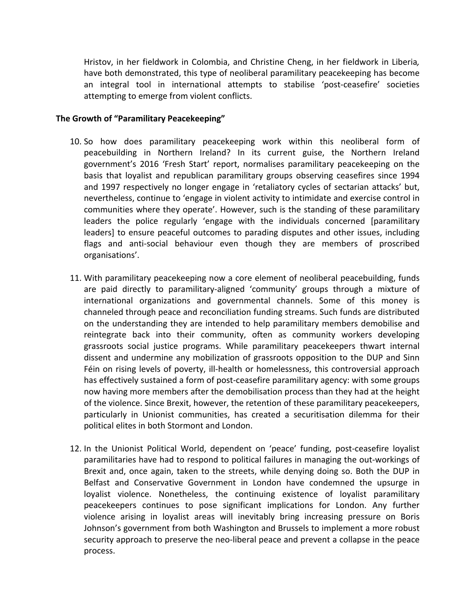Hristov, in her fieldwork in Colombia, and Christine Cheng, in her fieldwork in Liberia*,* have both demonstrated, this type of neoliberal paramilitary peacekeeping has become an integral tool in international attempts to stabilise 'post-ceasefire' societies attempting to emerge from violent conflicts.

#### **The Growth of "Paramilitary Peacekeeping"**

- 10. So how does paramilitary peacekeeping work within this neoliberal form of peacebuilding in Northern Ireland? In its current guise, the Northern Ireland government's 2016 'Fresh Start' report, normalises paramilitary peacekeeping on the basis that loyalist and republican paramilitary groups observing ceasefires since 1994 and 1997 respectively no longer engage in 'retaliatory cycles of sectarian attacks' but, nevertheless, continue to 'engage in violent activity to intimidate and exercise control in communities where they operate'. However, such is the standing of these paramilitary leaders the police regularly 'engage with the individuals concerned [paramilitary leaders] to ensure peaceful outcomes to parading disputes and other issues, including flags and anti-social behaviour even though they are members of proscribed organisations'.
- 11. With paramilitary peacekeeping now a core element of neoliberal peacebuilding, funds are paid directly to paramilitary-aligned 'community' groups through a mixture of international organizations and governmental channels. Some of this money is channeled through peace and reconciliation funding streams. Such funds are distributed on the understanding they are intended to help paramilitary members demobilise and reintegrate back into their community, often as community workers developing grassroots social justice programs. While paramilitary peacekeepers thwart internal dissent and undermine any mobilization of grassroots opposition to the DUP and Sinn Féin on rising levels of poverty, ill-health or homelessness, this controversial approach has effectively sustained a form of post-ceasefire paramilitary agency: with some groups now having more members after the demobilisation process than they had at the height of the violence. Since Brexit, however, the retention of these paramilitary peacekeepers, particularly in Unionist communities, has created a securitisation dilemma for their political elites in both Stormont and London.
- 12. In the Unionist Political World, dependent on 'peace' funding, post-ceasefire loyalist paramilitaries have had to respond to political failures in managing the out-workings of Brexit and, once again, taken to the streets, while denying doing so. Both the DUP in Belfast and Conservative Government in London have condemned the upsurge in loyalist violence. Nonetheless, the continuing existence of loyalist paramilitary peacekeepers continues to pose significant implications for London. Any further violence arising in loyalist areas will inevitably bring increasing pressure on Boris Johnson's government from both Washington and Brussels to implement a more robust security approach to preserve the neo-liberal peace and prevent a collapse in the peace process.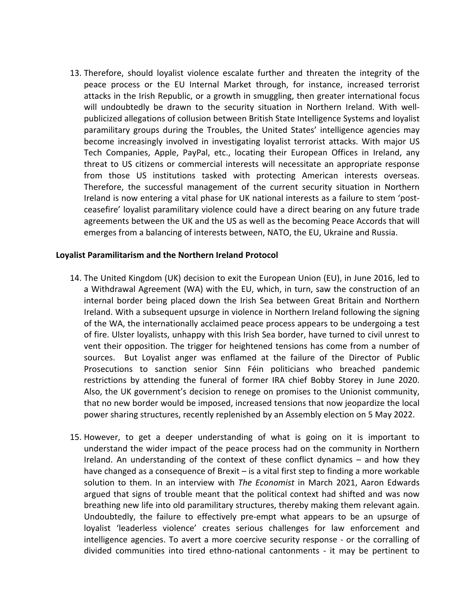13. Therefore, should loyalist violence escalate further and threaten the integrity of the peace process or the EU Internal Market through, for instance, increased terrorist attacks in the Irish Republic, or a growth in smuggling, then greater international focus will undoubtedly be drawn to the security situation in Northern Ireland. With wellpublicized allegations of collusion between British State Intelligence Systems and loyalist paramilitary groups during the Troubles, the United States' intelligence agencies may become increasingly involved in investigating loyalist terrorist attacks. With major US Tech Companies, Apple, PayPal, etc., locating their European Offices in Ireland, any threat to US citizens or commercial interests will necessitate an appropriate response from those US institutions tasked with protecting American interests overseas. Therefore, the successful management of the current security situation in Northern Ireland is now entering a vital phase for UK national interests as a failure to stem 'postceasefire' loyalist paramilitary violence could have a direct bearing on any future trade agreements between the UK and the US as well as the becoming Peace Accords that will emerges from a balancing of interests between, NATO, the EU, Ukraine and Russia.

### **Loyalist Paramilitarism and the Northern Ireland Protocol**

- 14. The United Kingdom (UK) decision to exit the European Union (EU), in June 2016, led to a Withdrawal Agreement (WA) with the EU, which, in turn, saw the construction of an internal border being placed down the Irish Sea between Great Britain and Northern Ireland. With a subsequent upsurge in violence in Northern Ireland following the signing of the WA, the internationally acclaimed peace process appears to be undergoing a test of fire. Ulster loyalists, unhappy with this Irish Sea border, have turned to civil unrest to vent their opposition. The trigger for heightened tensions has come from a number of sources. But Loyalist anger was enflamed at the failure of the Director of Public Prosecutions to sanction senior Sinn Féin politicians who breached pandemic restrictions by attending the funeral of former IRA chief Bobby Storey in June 2020. Also, the UK government's decision to renege on promises to the Unionist community, that no new border would be imposed, increased tensions that now jeopardize the local power sharing structures, recently replenished by an Assembly election on 5 May 2022.
- 15. However, to get a deeper understanding of what is going on it is important to understand the wider impact of the peace process had on the community in Northern Ireland. An understanding of the context of these conflict dynamics – and how they have changed as a consequence of Brexit – is a vital first step to finding a more workable solution to them. In an interview with *The Economist* in March 2021, Aaron Edwards argued that signs of trouble meant that the political context had shifted and was now breathing new life into old paramilitary structures, thereby making them relevant again. Undoubtedly, the failure to effectively pre-empt what appears to be an upsurge of loyalist 'leaderless violence' creates serious challenges for law enforcement and intelligence agencies. To avert a more coercive security response - or the corralling of divided communities into tired ethno-national cantonments - it may be pertinent to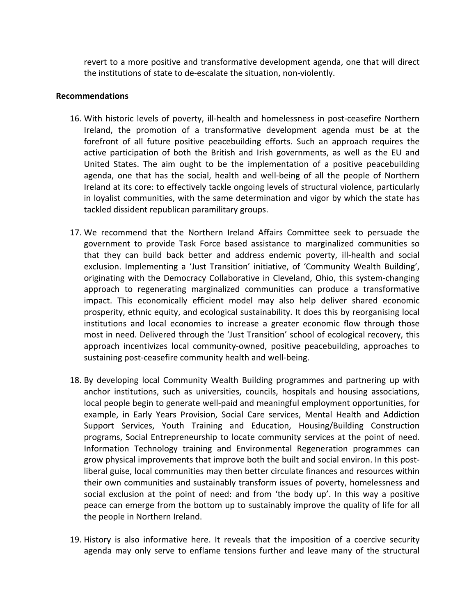revert to a more positive and transformative development agenda, one that will direct the institutions of state to de-escalate the situation, non-violently.

#### **Recommendations**

- 16. With historic levels of poverty, ill-health and homelessness in post-ceasefire Northern Ireland, the promotion of a transformative development agenda must be at the forefront of all future positive peacebuilding efforts. Such an approach requires the active participation of both the British and Irish governments, as well as the EU and United States. The aim ought to be the implementation of a positive peacebuilding agenda, one that has the social, health and well-being of all the people of Northern Ireland at its core: to effectively tackle ongoing levels of structural violence, particularly in loyalist communities, with the same determination and vigor by which the state has tackled dissident republican paramilitary groups.
- 17. We recommend that the Northern Ireland Affairs Committee seek to persuade the government to provide Task Force based assistance to marginalized communities so that they can build back better and address endemic poverty, ill-health and social exclusion. Implementing a 'Just Transition' initiative, of 'Community Wealth Building', originating with the Democracy Collaborative in Cleveland, Ohio, this system-changing approach to regenerating marginalized communities can produce a transformative impact. This economically efficient model may also help deliver shared economic prosperity, ethnic equity, and ecological sustainability. It does this by reorganising local institutions and local economies to increase a greater economic flow through those most in need. Delivered through the 'Just Transition' school of ecological recovery, this approach incentivizes local community-owned, positive peacebuilding, approaches to sustaining post-ceasefire community health and well-being.
- 18. By developing local Community Wealth Building programmes and partnering up with anchor institutions, such as universities, councils, hospitals and housing associations, local people begin to generate well-paid and meaningful employment opportunities, for example, in Early Years Provision, Social Care services, Mental Health and Addiction Support Services, Youth Training and Education, Housing/Building Construction programs, Social Entrepreneurship to locate community services at the point of need. Information Technology training and Environmental Regeneration programmes can grow physical improvements that improve both the built and social environ. In this postliberal guise, local communities may then better circulate finances and resources within their own communities and sustainably transform issues of poverty, homelessness and social exclusion at the point of need: and from 'the body up'. In this way a positive peace can emerge from the bottom up to sustainably improve the quality of life for all the people in Northern Ireland.
- 19. History is also informative here. It reveals that the imposition of a coercive security agenda may only serve to enflame tensions further and leave many of the structural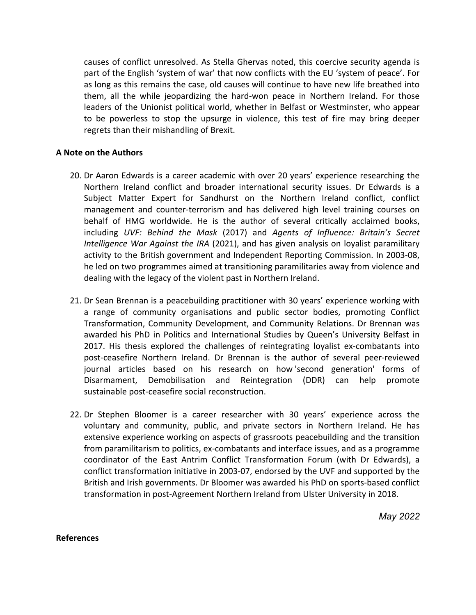causes of conflict unresolved. As Stella Ghervas noted, this coercive security agenda is part of the English 'system of war' that now conflicts with the EU 'system of peace'. For as long as this remains the case, old causes will continue to have new life breathed into them, all the while jeopardizing the hard-won peace in Northern Ireland. For those leaders of the Unionist political world, whether in Belfast or Westminster, who appear to be powerless to stop the upsurge in violence, this test of fire may bring deeper regrets than their mishandling of Brexit.

### **A Note on the Authors**

- 20. Dr Aaron Edwards is a career academic with over 20 years' experience researching the Northern Ireland conflict and broader international security issues. Dr Edwards is a Subject Matter Expert for Sandhurst on the Northern Ireland conflict, conflict management and counter-terrorism and has delivered high level training courses on behalf of HMG worldwide. He is the author of several critically acclaimed books, including *UVF: Behind the Mask* (2017) and *Agents of Influence: Britain's Secret Intelligence War Against the IRA* (2021), and has given analysis on loyalist paramilitary activity to the British government and Independent Reporting Commission. In 2003-08, he led on two programmes aimed at transitioning paramilitaries away from violence and dealing with the legacy of the violent past in Northern Ireland.
- 21. Dr Sean Brennan is a peacebuilding practitioner with 30 years' experience working with a range of community organisations and public sector bodies, promoting Conflict Transformation, Community Development, and Community Relations. Dr Brennan was awarded his PhD in Politics and International Studies by Queen's University Belfast in 2017. His thesis explored the challenges of reintegrating loyalist ex-combatants into post-ceasefire Northern Ireland. Dr Brennan is the author of several peer-reviewed journal articles based on his research on how 'second generation' forms of Disarmament, Demobilisation and Reintegration (DDR) can help promote sustainable post-ceasefire social reconstruction.
- 22. Dr Stephen Bloomer is a career researcher with 30 years' experience across the voluntary and community, public, and private sectors in Northern Ireland. He has extensive experience working on aspects of grassroots peacebuilding and the transition from paramilitarism to politics, ex-combatants and interface issues, and as a programme coordinator of the East Antrim Conflict Transformation Forum (with Dr Edwards), a conflict transformation initiative in 2003-07, endorsed by the UVF and supported by the British and Irish governments. Dr Bloomer was awarded his PhD on sports-based conflict transformation in post-Agreement Northern Ireland from Ulster University in 2018.

*May 2022*

#### **References**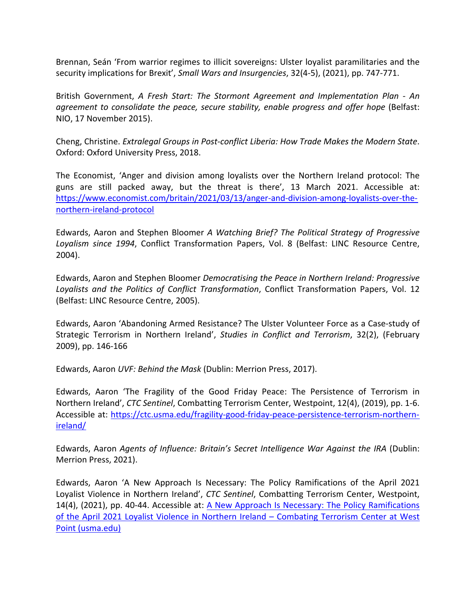Brennan, Seán 'From warrior regimes to illicit sovereigns: Ulster loyalist paramilitaries and the security implications for Brexit', *Small Wars and Insurgencies*, 32(4-5), (2021), pp. 747-771.

British Government, *A Fresh Start: The Stormont Agreement and Implementation Plan - An agreement to consolidate the peace, secure stability, enable progress and offer hope* (Belfast: NIO, 17 November 2015).

Cheng, Christine. *Extralegal Groups in Post-conflict Liberia: How Trade Makes the Modern State*. Oxford: Oxford University Press, 2018.

The Economist, 'Anger and division among loyalists over the Northern Ireland protocol: The guns are still packed away, but the threat is there', 13 March 2021. Accessible at: [https://www.economist.com/britain/2021/03/13/anger-and-division-among-loyalists-over-the](https://www.economist.com/britain/2021/03/13/anger-and-division-among-loyalists-over-the-northern-ireland-protocol)[northern-ireland-protocol](https://www.economist.com/britain/2021/03/13/anger-and-division-among-loyalists-over-the-northern-ireland-protocol)

Edwards, Aaron and Stephen Bloomer *A Watching Brief? The Political Strategy of Progressive Loyalism since 1994*, Conflict Transformation Papers, Vol. 8 (Belfast: LINC Resource Centre, 2004).

Edwards, Aaron and Stephen Bloomer *Democratising the Peace in Northern Ireland: Progressive Loyalists and the Politics of Conflict Transformation*, Conflict Transformation Papers, Vol. 12 (Belfast: LINC Resource Centre, 2005).

Edwards, Aaron 'Abandoning Armed Resistance? The Ulster Volunteer Force as a Case-study of Strategic Terrorism in Northern Ireland', *Studies in Conflict and Terrorism*, 32(2), (February 2009), pp. 146-166

Edwards, Aaron *UVF: Behind the Mask* (Dublin: Merrion Press, 2017).

Edwards, Aaron 'The Fragility of the Good Friday Peace: The Persistence of Terrorism in Northern Ireland', *CTC Sentinel*, Combatting Terrorism Center, Westpoint, 12(4), (2019), pp. 1-6. Accessible at: [https://ctc.usma.edu/fragility-good-friday-peace-persistence-terrorism-northern](https://ctc.usma.edu/fragility-good-friday-peace-persistence-terrorism-northern-ireland/)[ireland/](https://ctc.usma.edu/fragility-good-friday-peace-persistence-terrorism-northern-ireland/)

Edwards, Aaron *Agents of Influence: Britain's Secret Intelligence War Against the IRA* (Dublin: Merrion Press, 2021).

Edwards, Aaron 'A New Approach Is Necessary: The Policy Ramifications of the April 2021 Loyalist Violence in Northern Ireland', *CTC Sentinel*, Combatting Terrorism Center, Westpoint, 14(4), (2021), pp. 40-44. Accessible at: [A](https://ctc.usma.edu/a-new-approach-is-necessary-the-policy-ramifications-of-the-april-2021-loyalist-violence-in-northern-ireland/) [New](https://ctc.usma.edu/a-new-approach-is-necessary-the-policy-ramifications-of-the-april-2021-loyalist-violence-in-northern-ireland/) [Approach](https://ctc.usma.edu/a-new-approach-is-necessary-the-policy-ramifications-of-the-april-2021-loyalist-violence-in-northern-ireland/) [Is](https://ctc.usma.edu/a-new-approach-is-necessary-the-policy-ramifications-of-the-april-2021-loyalist-violence-in-northern-ireland/) [Necessary:](https://ctc.usma.edu/a-new-approach-is-necessary-the-policy-ramifications-of-the-april-2021-loyalist-violence-in-northern-ireland/) [The](https://ctc.usma.edu/a-new-approach-is-necessary-the-policy-ramifications-of-the-april-2021-loyalist-violence-in-northern-ireland/) [Policy](https://ctc.usma.edu/a-new-approach-is-necessary-the-policy-ramifications-of-the-april-2021-loyalist-violence-in-northern-ireland/) [Ramifications](https://ctc.usma.edu/a-new-approach-is-necessary-the-policy-ramifications-of-the-april-2021-loyalist-violence-in-northern-ireland/) [of](https://ctc.usma.edu/a-new-approach-is-necessary-the-policy-ramifications-of-the-april-2021-loyalist-violence-in-northern-ireland/) [the](https://ctc.usma.edu/a-new-approach-is-necessary-the-policy-ramifications-of-the-april-2021-loyalist-violence-in-northern-ireland/) [April](https://ctc.usma.edu/a-new-approach-is-necessary-the-policy-ramifications-of-the-april-2021-loyalist-violence-in-northern-ireland/) [2021](https://ctc.usma.edu/a-new-approach-is-necessary-the-policy-ramifications-of-the-april-2021-loyalist-violence-in-northern-ireland/) [Loyalist](https://ctc.usma.edu/a-new-approach-is-necessary-the-policy-ramifications-of-the-april-2021-loyalist-violence-in-northern-ireland/) [Violence](https://ctc.usma.edu/a-new-approach-is-necessary-the-policy-ramifications-of-the-april-2021-loyalist-violence-in-northern-ireland/) [in](https://ctc.usma.edu/a-new-approach-is-necessary-the-policy-ramifications-of-the-april-2021-loyalist-violence-in-northern-ireland/) [Northern](https://ctc.usma.edu/a-new-approach-is-necessary-the-policy-ramifications-of-the-april-2021-loyalist-violence-in-northern-ireland/) [Ireland](https://ctc.usma.edu/a-new-approach-is-necessary-the-policy-ramifications-of-the-april-2021-loyalist-violence-in-northern-ireland/) [–](https://ctc.usma.edu/a-new-approach-is-necessary-the-policy-ramifications-of-the-april-2021-loyalist-violence-in-northern-ireland/) [Combating](https://ctc.usma.edu/a-new-approach-is-necessary-the-policy-ramifications-of-the-april-2021-loyalist-violence-in-northern-ireland/) [Terrorism](https://ctc.usma.edu/a-new-approach-is-necessary-the-policy-ramifications-of-the-april-2021-loyalist-violence-in-northern-ireland/) [Center](https://ctc.usma.edu/a-new-approach-is-necessary-the-policy-ramifications-of-the-april-2021-loyalist-violence-in-northern-ireland/) [at](https://ctc.usma.edu/a-new-approach-is-necessary-the-policy-ramifications-of-the-april-2021-loyalist-violence-in-northern-ireland/) [West](https://ctc.usma.edu/a-new-approach-is-necessary-the-policy-ramifications-of-the-april-2021-loyalist-violence-in-northern-ireland/) [Point](https://ctc.usma.edu/a-new-approach-is-necessary-the-policy-ramifications-of-the-april-2021-loyalist-violence-in-northern-ireland/) [\(usma.edu\)](https://ctc.usma.edu/a-new-approach-is-necessary-the-policy-ramifications-of-the-april-2021-loyalist-violence-in-northern-ireland/)